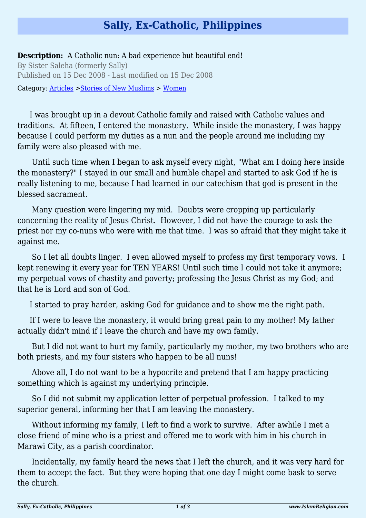## **Sally, Ex-Catholic, Philippines**

**Description:** A Catholic nun: A bad experience but beautiful end! By Sister Saleha (formerly Sally) Published on 15 Dec 2008 - Last modified on 15 Dec 2008

Category: [Articles](http://www.islamreligion.com/articles/) >[Stories of New Muslims](http://www.islamreligion.com/category/63/) > [Women](http://www.islamreligion.com/category/65/)

I was brought up in a devout Catholic family and raised with Catholic values and traditions. At fifteen, I entered the monastery. While inside the monastery, I was happy because I could perform my duties as a nun and the people around me including my family were also pleased with me.

 Until such time when I began to ask myself every night, "What am I doing here inside the monastery?" I stayed in our small and humble chapel and started to ask God if he is really listening to me, because I had learned in our catechism that god is present in the blessed sacrament.

 Many question were lingering my mid. Doubts were cropping up particularly concerning the reality of Jesus Christ. However, I did not have the courage to ask the priest nor my co-nuns who were with me that time. I was so afraid that they might take it against me.

 So I let all doubts linger. I even allowed myself to profess my first temporary vows. I kept renewing it every year for TEN YEARS! Until such time I could not take it anymore; my perpetual vows of chastity and poverty; professing the Jesus Christ as my God; and that he is Lord and son of God.

I started to pray harder, asking God for guidance and to show me the right path.

If I were to leave the monastery, it would bring great pain to my mother! My father actually didn't mind if I leave the church and have my own family.

 But I did not want to hurt my family, particularly my mother, my two brothers who are both priests, and my four sisters who happen to be all nuns!

 Above all, I do not want to be a hypocrite and pretend that I am happy practicing something which is against my underlying principle.

 So I did not submit my application letter of perpetual profession. I talked to my superior general, informing her that I am leaving the monastery.

 Without informing my family, I left to find a work to survive. After awhile I met a close friend of mine who is a priest and offered me to work with him in his church in Marawi City, as a parish coordinator.

 Incidentally, my family heard the news that I left the church, and it was very hard for them to accept the fact. But they were hoping that one day I might come bask to serve the church.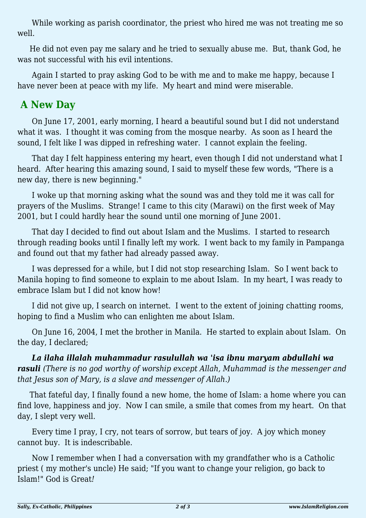While working as parish coordinator, the priest who hired me was not treating me so well.

He did not even pay me salary and he tried to sexually abuse me. But, thank God, he was not successful with his evil intentions.

 Again I started to pray asking God to be with me and to make me happy, because I have never been at peace with my life. My heart and mind were miserable.

## **A New Day**

 On June 17, 2001, early morning, I heard a beautiful sound but I did not understand what it was. I thought it was coming from the mosque nearby. As soon as I heard the sound, I felt like I was dipped in refreshing water. I cannot explain the feeling.

 That day I felt happiness entering my heart, even though I did not understand what I heard. After hearing this amazing sound, I said to myself these few words, "There is a new day, there is new beginning."

 I woke up that morning asking what the sound was and they told me it was call for prayers of the Muslims. Strange! I came to this city (Marawi) on the first week of May 2001, but I could hardly hear the sound until one morning of June 2001.

 That day I decided to find out about Islam and the Muslims. I started to research through reading books until I finally left my work. I went back to my family in Pampanga and found out that my father had already passed away.

 I was depressed for a while, but I did not stop researching Islam. So I went back to Manila hoping to find someone to explain to me about Islam. In my heart, I was ready to embrace Islam but I did not know how!

 I did not give up, I search on internet. I went to the extent of joining chatting rooms, hoping to find a Muslim who can enlighten me about Islam.

 On June 16, 2004, I met the brother in Manila. He started to explain about Islam. On the day, I declared;

*La ilaha illalah muhammadur rasulullah wa 'isa ibnu maryam abdullahi wa rasuli (There is no god worthy of worship except Allah, Muhammad is the messenger and that Jesus son of Mary, is a slave and messenger of Allah.)*

That fateful day, I finally found a new home, the home of Islam: a home where you can find love, happiness and joy. Now I can smile, a smile that comes from my heart. On that day, I slept very well.

 Every time I pray, I cry, not tears of sorrow, but tears of joy. A joy which money cannot buy. It is indescribable.

 Now I remember when I had a conversation with my grandfather who is a Catholic priest ( my mother's uncle) He said; "If you want to change your religion, go back to Islam!" God is Great*!*